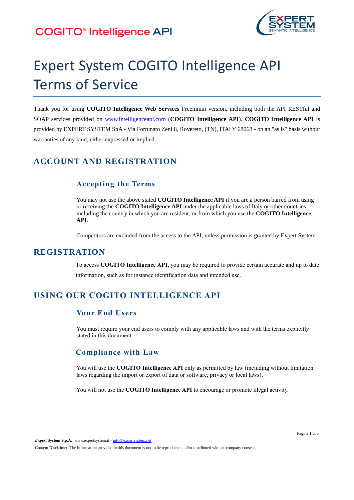# **COGITO®** Intelligence API



# Expert System COGITO Intelligence API Terms of Service

Thank you for using **COGITO Intelligence Web Services** Freemium version, including both the API RESTful and SOAP services provided on [www.intelligenceapi.com](http://www.intelligenceapi.com/) (**COGITO Intelligence API**). **COGITO Intelligence API** is provided by EXPERT SYSTEM SpA - Via Fortunato Zeni 8, Rovereto, (TN), ITALY 68068 - on an "as is" basis without warranties of any kind, either expressed or implied.

# **ACCOUNT AND REGISTRATION**

## **Accepting the Terms**

You may not use the above stated **COGITO Intelligence API** if you are a person barred from using or receiving the **COGITO Intelligence API** under the applicable laws of Italy or other countries including the country in which you are resident, or from which you use the **COGITO Intelligence API**.

Competitors are excluded from the access to the API, unless permission is granted by Expert System.

#### **REGISTRATION**

To access **COGITO Intelligence API,** you may be required to provide certain accurate and up to date information, such as for instance identification data and intended use.

# **USING OUR COGITO INTELLIGENCE API**

#### **Your End Users**

You must require your end users to comply with any applicable laws and with the terms explicitly stated in this document.

#### **Compliance with Law**

You will use the **COGITO Intelligence API** only as permitted by law (including without limitation laws regarding the import or export of data or software, privacy or local laws).

You will not use the **COGITO Intelligence API** to encourage or promote illegal activity.

*Expert* **System S.p.A.** www.expertsystem.it - info@expertsystem.net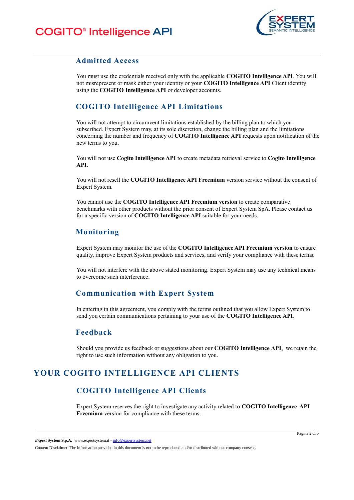

#### **Admitted Access**

You must use the credentials received only with the applicable **COGITO Intelligence API**. You will not misrepresent or mask either your identity or your **COGITO Intelligence API** Client identity using the **COGITO Intelligence API** or developer accounts.

## **COGITO Intelligence API Limitations**

You will not attempt to circumvent limitations established by the billing plan to which you subscribed. Expert System may, at its sole discretion, change the billing plan and the limitations concerning the number and frequency of **COGITO Intelligence API** requests upon notification of the new terms to you.

You will not use **Cogito Intelligence API** to create metadata retrieval service to **Cogito Intelligence API**.

You will not resell the **COGITO Intelligence API Freemium** version service without the consent of Expert System.

You cannot use the **COGITO Intelligence API Freemium version** to create comparative benchmarks with other products without the prior consent of Expert System SpA. Please contact us for a specific version of **COGITO Intelligence API** suitable for your needs.

#### **Monitoring**

Expert System may monitor the use of the **COGITO Intelligence API Freemium version** to ensure quality, improve Expert System products and services, and verify your compliance with these terms.

You will not interfere with the above stated monitoring. Expert System may use any technical means to overcome such interference.

#### **Communication with Expert System**

In entering in this agreement, you comply with the terms outlined that you allow Expert System to send you certain communications pertaining to your use of the **COGITO Intelligence API**.

#### **Feedback**

Should you provide us feedback or suggestions about our **COGITO Intelligence API**, we retain the right to use such information without any obligation to you.

# **YOUR COGITO INTELLIGENCE API CLIENTS**

# **COGITO Intelligence API Clients**

Expert System reserves the right to investigate any activity related to **COGITO Intelligence API Freemium** version for compliance with these terms.

*Expert* **System S.p.A.** www.expertsystem.it - info@expertsystem.net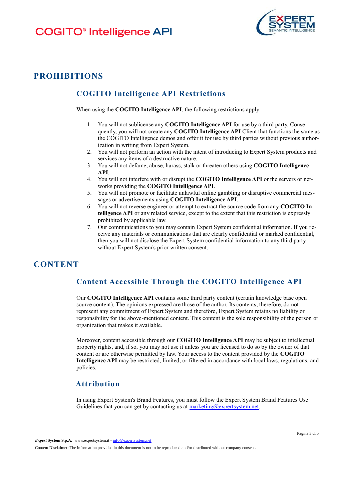

# **PROHIBITIONS**

# **COGITO Intelligence API Restrictions**

When using the **COGITO Intelligence API**, the following restrictions apply:

- 1. You will not sublicense any **COGITO Intelligence API** for use by a third party. Consequently, you will not create any **COGITO Intelligence API** Client that functions the same as the COGITO Intelligence demos and offer it for use by third parties without previous authorization in writing from Expert System.
- 2. You will not perform an action with the intent of introducing to Expert System products and services any items of a destructive nature.
- 3. You will not defame, abuse, harass, stalk or threaten others using **COGITO Intelligence API**.
- 4. You will not interfere with or disrupt the **COGITO Intelligence API** or the servers or networks providing the **COGITO Intelligence API**.
- 5. You will not promote or facilitate unlawful online gambling or disruptive commercial messages or advertisements using **COGITO Intelligence API**.
- 6. You will not reverse engineer or attempt to extract the source code from any **COGITO Intelligence API** or any related service, except to the extent that this restriction is expressly prohibited by applicable law.
- 7. Our communications to you may contain Expert System confidential information. If you receive any materials or communications that are clearly confidential or marked confidential, then you will not disclose the Expert System confidential information to any third party without Expert System's prior written consent.

# **CONTENT**

## **Content Accessible Through the COGITO Intelligence API**

Our **COGITO Intelligence API** contains some third party content (certain knowledge base open source content). The opinions expressed are those of the author. Its contents, therefore, do not represent any commitment of Expert System and therefore, Expert System retains no liability or responsibility for the above-mentioned content. This content is the sole responsibility of the person or organization that makes it available.

Moreover, content accessible through our **COGITO Intelligence API** may be subject to intellectual property rights, and, if so, you may not use it unless you are licensed to do so by the owner of that content or are otherwise permitted by law. Your access to the content provided by the **COGITO Intelligence API** may be restricted, limited, or filtered in accordance with local laws, regulations, and policies.

#### **Attribution**

In using Expert System's Brand Features, you must follow the Expert System Brand Features Use Guidelines that you can get by contacting us at  $\text{marketing}(\partial \text{expertsystem.net})$ .

*Expert* **System S.p.A.** www.expertsystem.it - info@expertsystem.net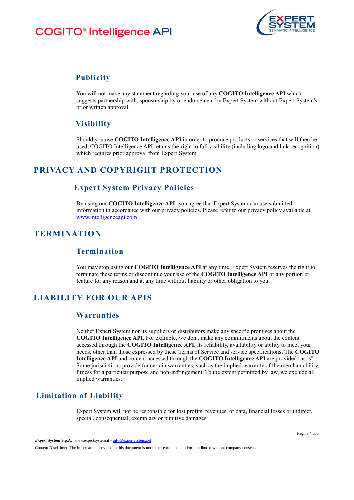# **COGITO®** Intelligence API



#### **Publicity**

You will not make any statement regarding your use of any **COGITO Intelligence API** which suggests partnership with, sponsorship by or endorsement by Expert System without Expert System's prior written approval.

## **Visibility**

Should you use **COGITO Intelligence API** in order to produce products or services that will then be used, COGITO Intelligence API retains the right to full visibility (including logo and link recognition) which requires prior approval from Expert System.

# **PRIVACY AND COPYRIGHT PROTECTION**

## **Expert System Privacy Policies**

By using our **COGITO Intelligence API**, you agree that Expert System can use submitted information in accordance with our privacy policies. Please refer to our privacy policy available at [www.intelligenceapi.com](http://www.intelligenceapi.com/) .

# **TERMINATION**

#### **Termination**

You may stop using our **COGITO Intelligence API** at any time. Expert System reserves the right to terminate these terms or discontinue your use of the **COGITO Intelligence API** or any portion or feature for any reason and at any time without liability or other obligation to you.

# **LIABILITY FOR OUR APIS**

#### **Warranties**

Neither Expert System nor its suppliers or distributors make any specific promises about the **COGITO Intelligence API**. For example, we don't make any commitments about the content accessed through the **COGITO Intelligence API**, its reliability, availability or ability to meet your needs, other than those expressed by these Terms of Service and service specifications. The **COGITO Intelligence API** and content accessed through the **COGITO Intelligence API** are provided "as is". Some jurisdictions provide for certain warranties, such as the implied warranty of the merchantability, fitness for a particular purpose and non-infringement. To the extent permitted by law, we exclude all implied warranties.

## **Limitation of Liability**

Expert System will not be responsible for lost profits, revenues, or data, financial losses or indirect, special, consequential, exemplary or punitive damages.

*Expert* **System S.p.A.** www.expertsystem.it - info@expertsystem.net